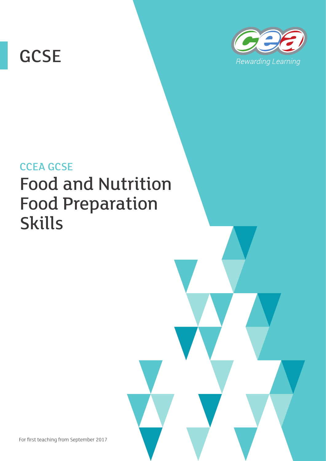# **GCSE**



# CCEA GCSE Food and Nutrition Food Preparation Skills

For first teaching from September 2017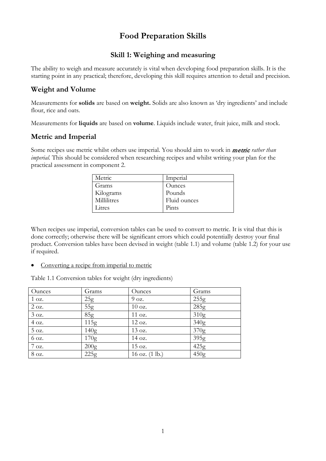# **Food Preparation Skills**

# **Skill 1: Weighing and measuring**

The ability to weigh and measure accurately is vital when developing food preparation skills. It is the starting point in any practical; therefore, developing this skill requires attention to detail and precision.

# **Weight and Volume**

Measurements for **solids** are based on **weight.** Solids are also known as 'dry ingredients' and include flour, rice and oats.

Measurements for **liquids** are based on **volume**. Liquids include water, fruit juice, milk and stock.

## **Metric and Imperial**

Some recipes use metric whilst others use imperial. You should aim to work in metric *rather than imperial.* This should be considered when researching recipes and whilst writing your plan for the practical assessment in component 2.

| Metric      | Imperial      |
|-------------|---------------|
| Grams       | <b>Ounces</b> |
| Kilograms   | Pounds        |
| Millilitres | Fluid ounces  |
| Litres      | Pints         |

When recipes use imperial, conversion tables can be used to convert to metric. It is vital that this is done correctly; otherwise there will be significant errors which could potentially destroy your final product. Conversion tables have been devised in weight (table 1.1) and volume (table 1.2) for your use if required.

Converting a recipe from imperial to metric

Table 1.1 Conversion tables for weight (dry ingredients)

| Ounces          | Grams            | Ounces                   | Grams            |
|-----------------|------------------|--------------------------|------------------|
| 1 oz.           | 25g              | 9 oz.                    | 255g             |
| 2 oz.           | 55g              | 10 oz.                   | 285g             |
| 3 oz.           | 85g              | 11 oz.                   | 310g             |
| 4 oz.           | 115g             | 12 oz.                   | 340 <sub>g</sub> |
| 5 oz.           | 140 <sub>g</sub> | 13 oz.                   | 370g             |
| 6 oz.           | 170 <sub>g</sub> | 14 oz.                   | 395g             |
| $7 \text{ oz.}$ | 200 <sub>g</sub> | 15 oz.                   | 425g             |
| 8 oz.           | 225g             | 16 oz. $(1 \text{ lb.})$ | 450 <sub>g</sub> |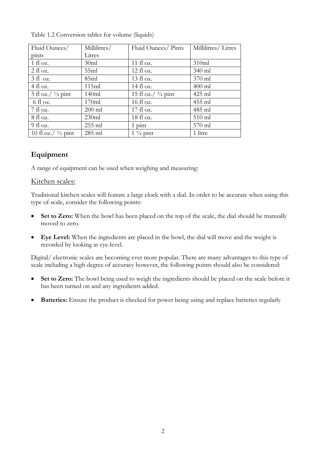| Fluid Ounces/                 | Millilitres/ | Fluid Ounces/ Pints           | Millilitres/Litres |
|-------------------------------|--------------|-------------------------------|--------------------|
| pints                         | Litres       |                               |                    |
| $1$ fl oz.                    | 30ml         | 11 fl $oz$ .                  | 310ml              |
| $2 \text{ fl oz.}$            | 55ml         | $12 \text{ fl oz.}$           | 340 ml             |
| $3 \text{ fl oz.}$            | 85ml         | $13 \text{ fl oz.}$           | $370$ ml           |
| 4 fl oz.                      | 115ml        | $14 \text{ fl oz.}$           | $400$ ml           |
| 5 fl oz./ $\frac{1}{4}$ pint  | 140ml        | 15 fl oz./ $\frac{3}{4}$ pint | 425 ml             |
| $6 \text{ fl oz.}$            | 170ml        | 16 fl oz.                     | 455 ml             |
| $7$ fl oz.                    | $200$ ml     | $17 \text{ fl oz.}$           | 485 ml             |
| $8 \text{ fl oz.}$            | 230ml        | $18 \text{ fl oz.}$           | $510$ ml           |
| $9$ fl oz.                    | $255$ ml     | $1$ pint                      | 570 ml             |
| 10 fl oz./ $\frac{1}{2}$ pint | 285 ml       | $1\frac{3}{4}$ pint           | 1 litre            |

Table 1.2 Conversion tables for volume (liquids)

# **Equipment**

A range of equipment can be used when weighing and measuring:

#### Kitchen scales:

Traditional kitchen scales will feature a large clock with a dial. In order to be accurate when using this type of scale, consider the following points:

- Set to Zero: When the bowl has been placed on the top of the scale, the dial should be manually moved to zero.
- **Eye Level:** When the ingredients are placed in the bowl, the dial will move and the weight is recorded by looking at eye-level.

Digital/ electronic scales are becoming ever more popular. There are many advantages to this type of scale including a high degree of accuracy however, the following points should also be considered:

- Set to Zero: The bowl being used to weigh the ingredients should be placed on the scale before it has been turned on and any ingredients added.
- **Batteries:** Ensure the product is checked for power being using and replace batteries regularly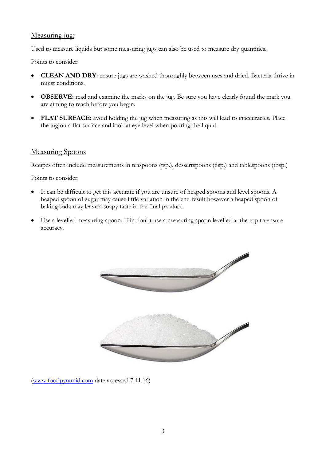## Measuring jug:

Used to measure liquids but some measuring jugs can also be used to measure dry quantities.

Points to consider:

- **CLEAN AND DRY:** ensure jugs are washed thoroughly between uses and dried. Bacteria thrive in moist conditions.
- **OBSERVE:** read and examine the marks on the jug. Be sure you have clearly found the mark you are aiming to reach before you begin.
- **FLAT SURFACE:** avoid holding the jug when measuring as this will lead to inaccuracies. Place the jug on a flat surface and look at eye level when pouring the liquid.

#### Measuring Spoons

Recipes often include measurements in teaspoons (tsp.), dessertspoons (dsp.) and tablespoons (tbsp.)

Points to consider:

- It can be difficult to get this accurate if you are unsure of heaped spoons and level spoons. A heaped spoon of sugar may cause little variation in the end result however a heaped spoon of baking soda may leave a soapy taste in the final product.
- Use a levelled measuring spoon: If in doubt use a measuring spoon levelled at the top to ensure accuracy.



[\(www.foodpyramid.com](http://www.foodpyramid.com/) date accessed 7.11.16)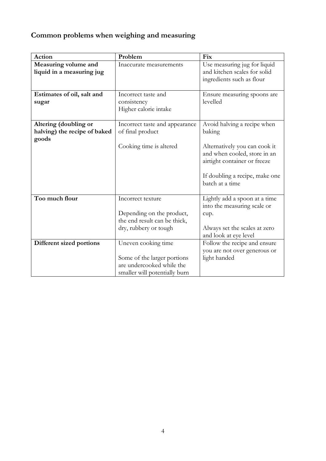# **Common problems when weighing and measuring**

| Action                                                         | Problem                                                                                                          | Fix                                                                                                                                                                                         |
|----------------------------------------------------------------|------------------------------------------------------------------------------------------------------------------|---------------------------------------------------------------------------------------------------------------------------------------------------------------------------------------------|
| Measuring volume and<br>liquid in a measuring jug              | Inaccurate measurements                                                                                          | Use measuring jug for liquid<br>and kitchen scales for solid<br>ingredients such as flour                                                                                                   |
| Estimates of oil, salt and<br>sugar                            | Incorrect taste and<br>consistency<br>Higher calorie intake                                                      | Ensure measuring spoons are<br>levelled                                                                                                                                                     |
| Altering (doubling or<br>halving) the recipe of baked<br>goods | Incorrect taste and appearance<br>of final product<br>Cooking time is altered                                    | Avoid halving a recipe when<br>baking<br>Alternatively you can cook it<br>and when cooled, store in an<br>airtight container or freeze<br>If doubling a recipe, make one<br>batch at a time |
| Too much flour                                                 | Incorrect texture<br>Depending on the product,<br>the end result can be thick,<br>dry, rubbery or tough          | Lightly add a spoon at a time<br>into the measuring scale or<br>cup.<br>Always set the scales at zero<br>and look at eye level                                                              |
| Different sized portions                                       | Uneven cooking time<br>Some of the larger portions<br>are undercooked while the<br>smaller will potentially burn | Follow the recipe and ensure<br>you are not over generous or<br>light handed                                                                                                                |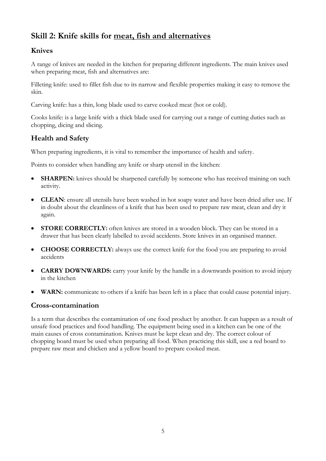# **Skill 2: Knife skills for meat, fish and alternatives**

# **Knives**

A range of knives are needed in the kitchen for preparing different ingredients. The main knives used when preparing meat, fish and alternatives are:

Filleting knife: used to fillet fish due to its narrow and flexible properties making it easy to remove the skin.

Carving knife: has a thin, long blade used to carve cooked meat (hot or cold).

Cooks knife: is a large knife with a thick blade used for carrying out a range of cutting duties such as chopping, dicing and slicing.

# **Health and Safety**

When preparing ingredients, it is vital to remember the importance of health and safety.

Points to consider when handling any knife or sharp utensil in the kitchen:

- **SHARPEN:** knives should be sharpened carefully by someone who has received training on such activity.
- **CLEAN**: ensure all utensils have been washed in hot soapy water and have been dried after use. If in doubt about the cleanliness of a knife that has been used to prepare raw meat, clean and dry it again.
- **STORE CORRECTLY:** often knives are stored in a wooden block. They can be stored in a drawer that has been clearly labelled to avoid accidents. Store knives in an organised manner.
- **CHOOSE CORRECTLY:** always use the correct knife for the food you are preparing to avoid accidents
- **CARRY DOWNWARDS:** carry your knife by the handle in a downwards position to avoid injury in the kitchen
- **WARN:** communicate to others if a knife has been left in a place that could cause potential injury.

# **Cross-contamination**

Is a term that describes the contamination of one food product by another. It can happen as a result of unsafe food practices and food handling. The equipment being used in a kitchen can be one of the main causes of cross contamination. Knives must be kept clean and dry. The correct colour of chopping board must be used when preparing all food. When practicing this skill, use a red board to prepare raw meat and chicken and a yellow board to prepare cooked meat.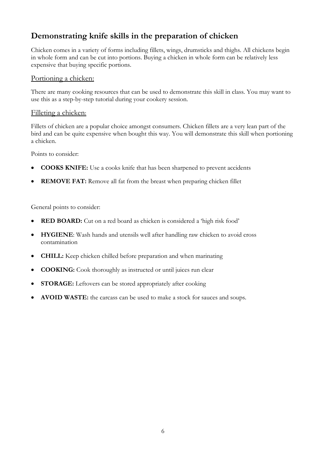# **Demonstrating knife skills in the preparation of chicken**

Chicken comes in a variety of forms including fillets, wings, drumsticks and thighs. All chickens begin in whole form and can be cut into portions. Buying a chicken in whole form can be relatively less expensive that buying specific portions.

#### Portioning a chicken:

There are many cooking resources that can be used to demonstrate this skill in class. You may want to use this as a step-by-step tutorial during your cookery session.

#### Filleting a chicken:

Fillets of chicken are a popular choice amongst consumers. Chicken fillets are a very lean part of the bird and can be quite expensive when bought this way. You will demonstrate this skill when portioning a chicken.

Points to consider:

- **COOKS KNIFE:** Use a cooks knife that has been sharpened to prevent accidents
- **REMOVE FAT:** Remove all fat from the breast when preparing chicken fillet

General points to consider:

- **RED BOARD:** Cut on a red board as chicken is considered a 'high risk food'
- **HYGIENE**: Wash hands and utensils well after handling raw chicken to avoid cross contamination
- **CHILL:** Keep chicken chilled before preparation and when marinating
- **COOKING:** Cook thoroughly as instructed or until juices run clear
- **STORAGE:** Leftovers can be stored appropriately after cooking
- **AVOID WASTE:** the carcass can be used to make a stock for sauces and soups.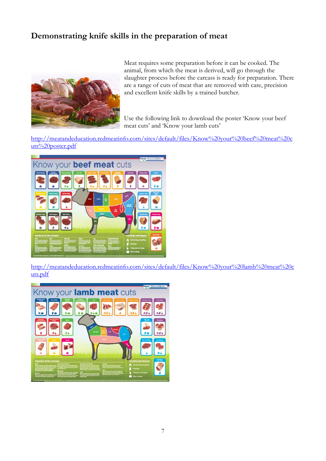# **Demonstrating knife skills in the preparation of meat**



Meat requires some preparation before it can be cooked. The animal, from which the meat is derived, will go through the slaughter process before the carcass is ready for preparation. There are a range of cuts of meat that are removed with care, precision and excellent knife skills by a trained butcher.

Use the following link to download the poster 'Know your beef meat cuts' and 'Know your lamb cuts'

[http://meatandeducation.redmeatinfo.com/sites/default/files/Know%20your%20beef%20meat%20c](http://meatandeducation.redmeatinfo.com/sites/default/files/Know%20your%20beef%20meat%20cuts%20poster.pdf) [uts%20poster.pdf](http://meatandeducation.redmeatinfo.com/sites/default/files/Know%20your%20beef%20meat%20cuts%20poster.pdf)



[http://meatandeducation.redmeatinfo.com/sites/default/files/Know%20your%20lamb%20meat%20c](http://meatandeducation.redmeatinfo.com/sites/default/files/Know%20your%20lamb%20meat%20cuts.pdf) [uts.pdf](http://meatandeducation.redmeatinfo.com/sites/default/files/Know%20your%20lamb%20meat%20cuts.pdf)

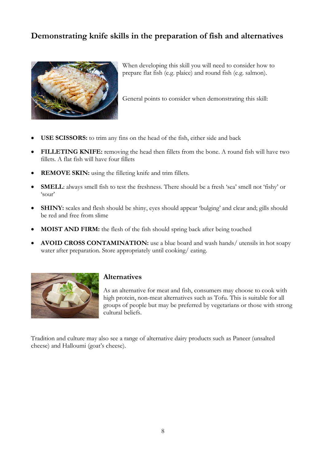# **Demonstrating knife skills in the preparation of fish and alternatives**



When developing this skill you will need to consider how to prepare flat fish (e.g. plaice) and round fish (e.g. salmon).

General points to consider when demonstrating this skill:

- **USE SCISSORS:** to trim any fins on the head of the fish, either side and back
- **FILLETING KNIFE:** removing the head then fillets from the bone. A round fish will have two fillets. A flat fish will have four fillets
- **REMOVE SKIN:** using the filleting knife and trim fillets.
- **SMELL**: always smell fish to test the freshness. There should be a fresh 'sea' smell not 'fishy' or 'sour'
- **SHINY:** scales and flesh should be shiny, eyes should appear 'bulging' and clear and; gills should be red and free from slime
- **MOIST AND FIRM:** the flesh of the fish should spring back after being touched
- **AVOID CROSS CONTAMINATION:** use a blue board and wash hands/ utensils in hot soapy water after preparation. Store appropriately until cooking/ eating.



## **Alternatives**

As an alternative for meat and fish, consumers may choose to cook with high protein, non-meat alternatives such as Tofu. This is suitable for all groups of people but may be preferred by vegetarians or those with strong cultural beliefs.

Tradition and culture may also see a range of alternative dairy products such as Paneer (unsalted cheese) and Halloumi (goat's cheese).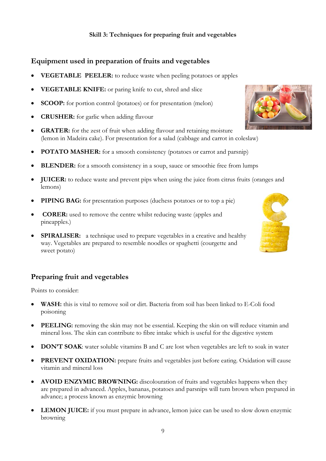#### **Skill 3: Techniques for preparing fruit and vegetables**

## **Equipment used in preparation of fruits and vegetables**

- **VEGETABLE PEELER:** to reduce waste when peeling potatoes or apples
- **VEGETABLE KNIFE:** or paring knife to cut, shred and slice
- **SCOOP:** for portion control (potatoes) or for presentation (melon)
- **CRUSHER:** for garlic when adding flavour
- **GRATER:** for the zest of fruit when adding flavour and retaining moisture (lemon in Madeira cake). For presentation for a salad (cabbage and carrot in coleslaw)
- **POTATO MASHER:** for a smooth consistency (potatoes or carrot and parsnip)
- **BLENDER:** for a smooth consistency in a soup, sauce or smoothie free from lumps
- **JUICER:** to reduce waste and prevent pips when using the juice from citrus fruits (oranges and lemons)
- **PIPING BAG:** for presentation purposes (duchess potatoes or to top a pie)
- **CORER:** used to remove the centre whilst reducing waste (apples and pineapples.)
- **SPIRALISER:** a technique used to prepare vegetables in a creative and healthy way. Vegetables are prepared to resemble noodles or spaghetti (courgette and sweet potato)

#### **Preparing fruit and vegetables**

Points to consider:

- **WASH:** this is vital to remove soil or dirt. Bacteria from soil has been linked to E-Coli food poisoning
- **PEELING:** removing the skin may not be essential. Keeping the skin on will reduce vitamin and mineral loss. The skin can contribute to fibre intake which is useful for the digestive system
- **DON'T SOAK:** water soluble vitamins B and C are lost when vegetables are left to soak in water
- **PREVENT OXIDATION:** prepare fruits and vegetables just before eating. Oxidation will cause vitamin and mineral loss
- **AVOID ENZYMIC BROWNING:** discolouration of fruits and vegetables happens when they are prepared in advanced. Apples, bananas, potatoes and parsnips will turn brown when prepared in advance; a process known as enzymic browning
- LEMON JUICE: if you must prepare in advance, lemon juice can be used to slow down enzymic browning



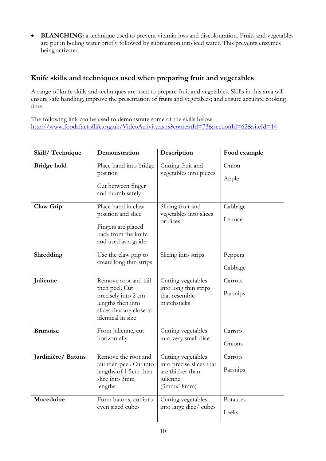• **BLANCHING:** a technique used to prevent vitamin loss and discolouration. Fruits and vegetables are put in boiling water briefly followed by submersion into iced water. This prevents enzymes being activated.

## **Knife skills and techniques used when preparing fruit and vegetables**

A range of knife skills and techniques are used to prepare fruit and vegetables. Skills in this area will ensure safe handling, improve the presentation of fruits and vegetables; and ensure accurate cooking time.

The following link can be used to demonstrate some of the skills below [http://www.foodafactoflife.org.uk/VideoActivity.aspx?contentId=73&sectionId=62&siteId=14](http://www.foodafactoflife.org.uk/VideoActivity.aspx?contentId=73§ionId=62&siteId=14)

| Skill/Technique    | Demonstration                                                                                                                       | Description                                                                                  | Food example        |
|--------------------|-------------------------------------------------------------------------------------------------------------------------------------|----------------------------------------------------------------------------------------------|---------------------|
| <b>Bridge hold</b> | Place hand into bridge<br>position<br>Cut between finger<br>and thumb safely                                                        | Cutting fruit and<br>vegetables into pieces                                                  | Onion<br>Apple      |
| Claw Grip          | Place hand in claw<br>position and slice<br>Fingers are placed<br>back from the knife<br>and used as a guide                        | Slicing fruit and<br>vegetables into slices<br>or dices                                      | Cabbage<br>Lettuce  |
| Shredding          | Use the claw grip to<br>create long thin strips                                                                                     | Slicing into strips                                                                          | Peppers<br>Cabbage  |
| Julienne           | Remove root and tail<br>then peel. Cut<br>precisely into 2 cm<br>lengths then into<br>slices that are close to<br>identical in size | Cutting vegetables<br>into long thin strips<br>that resemble<br>matchsticks                  | Carrots<br>Parsnips |
| <b>Brunoise</b>    | From julienne, cut<br>horizontally                                                                                                  | Cutting vegetables<br>into very small dice                                                   | Carrots<br>Onions   |
| Jardinière/Batons  | Remove the root and<br>tail then peel. Cut into<br>lengths of 1.5cm then<br>slice into 3mm<br>lengths                               | Cutting vegetables<br>into precise slices that<br>are thicker than<br>julienne<br>(3mmx18mm) | Carrots<br>Parsnips |
| Macedoine          | From batons, cut into<br>even sized cubes                                                                                           | Cutting vegetables<br>into large dice/ cubes                                                 | Potatoes<br>Leeks   |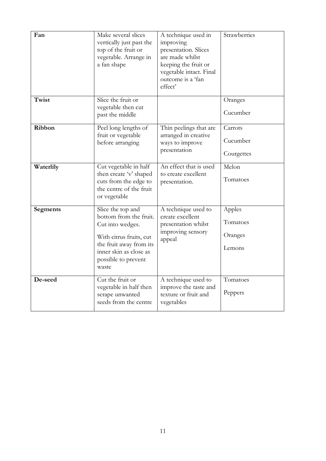| Fan             | Make several slices<br>vertically just past the<br>top of the fruit or<br>vegetable. Arrange in<br>a fan shape                                                                  | A technique used in<br>improving<br>presentation. Slices<br>are made whilst<br>keeping the fruit or<br>vegetable intact. Final<br>outcome is a 'fan<br>effect' | Strawberries                            |
|-----------------|---------------------------------------------------------------------------------------------------------------------------------------------------------------------------------|----------------------------------------------------------------------------------------------------------------------------------------------------------------|-----------------------------------------|
| Twist           | Slice the fruit or<br>vegetable then cut<br>past the middle                                                                                                                     |                                                                                                                                                                | Oranges<br>Cucumber                     |
| Ribbon          | Peel long lengths of<br>fruit or vegetable<br>before arranging                                                                                                                  | Thin peelings that are<br>arranged in creative<br>ways to improve<br>presentation                                                                              | Carrots<br>Cucumber<br>Courgettes       |
| Waterlily       | Cut vegetable in half<br>then create 'v' shaped<br>cuts from the edge to<br>the centre of the fruit<br>or vegetable                                                             | An effect that is used<br>to create excellent<br>presentation.                                                                                                 | Melon<br>Tomatoes                       |
| <b>Segments</b> | Slice the top and<br>bottom from the fruit.<br>Cut into wedges.<br>With citrus fruits, cut<br>the fruit away from its<br>inner skin as close as<br>possible to prevent<br>waste | A technique used to<br>create excellent<br>presentation whilst<br>improving sensory<br>appeal                                                                  | Apples<br>Tomatoes<br>Oranges<br>Lemons |
| De-seed         | Cut the fruit or<br>vegetable in half then<br>scrape unwanted<br>seeds from the centre                                                                                          | A technique used to<br>improve the taste and<br>texture or fruit and<br>vegetables                                                                             | Tomatoes<br>Peppers                     |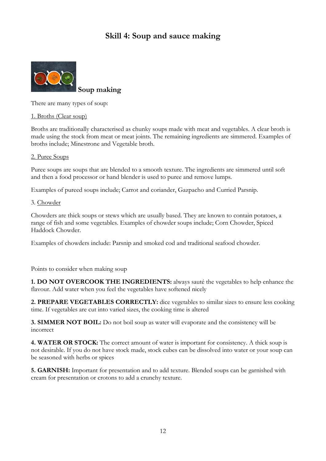# **Skill 4: Soup and sauce making**



**Soup making**

There are many types of soup:

1. Broths (Clear soup)

Broths are traditionally characterised as chunky soups made with meat and vegetables. A clear broth is made using the stock from meat or meat joints. The remaining ingredients are simmered. Examples of broths include; Minestrone and Vegetable broth.

#### 2. Puree Soups

Puree soups are soups that are blended to a smooth texture. The ingredients are simmered until soft and then a food processor or hand blender is used to puree and remove lumps.

Examples of pureed soups include; Carrot and coriander, Gazpacho and Curried Parsnip.

#### 3. Chowder

Chowders are thick soups or stews which are usually based. They are known to contain potatoes, a range of fish and some vegetables. Examples of chowder soups include; Corn Chowder, Spiced Haddock Chowder.

Examples of chowders include: Parsnip and smoked cod and traditional seafood chowder.

Points to consider when making soup

**1. DO NOT OVERCOOK THE INGREDIENTS:** always sauté the vegetables to help enhance the flavour. Add water when you feel the vegetables have softened nicely

**2. PREPARE VEGETABLES CORRECTLY:** dice vegetables to similar sizes to ensure less cooking time. If vegetables are cut into varied sizes, the cooking time is altered

**3. SIMMER NOT BOIL:** Do not boil soup as water will evaporate and the consistency will be incorrect

**4. WATER OR STOCK:** The correct amount of water is important for consistency. A thick soup is not desirable. If you do not have stock made, stock cubes can be dissolved into water or your soup can be seasoned with herbs or spices

**5. GARNISH:** Important for presentation and to add texture. Blended soups can be garnished with cream for presentation or crotons to add a crunchy texture.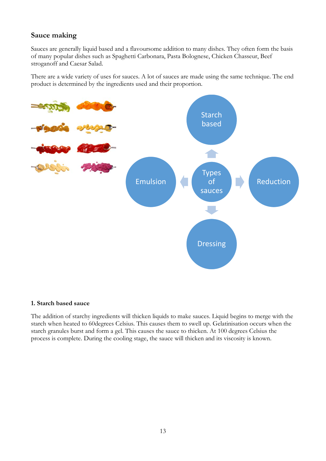## **Sauce making**

Sauces are generally liquid based and a flavoursome addition to many dishes. They often form the basis of many popular dishes such as Spaghetti Carbonara, Pasta Bolognese, Chicken Chasseur, Beef stroganoff and Caesar Salad.

There are a wide variety of uses for sauces. A lot of sauces are made using the same technique. The end product is determined by the ingredients used and their proportion.



#### **1. Starch based sauce**

The addition of starchy ingredients will thicken liquids to make sauces. Liquid begins to merge with the starch when heated to 60degrees Celsius. This causes them to swell up. Gelatinisation occurs when the starch granules burst and form a gel. This causes the sauce to thicken. At 100 degrees Celsius the process is complete. During the cooling stage, the sauce will thicken and its viscosity is known.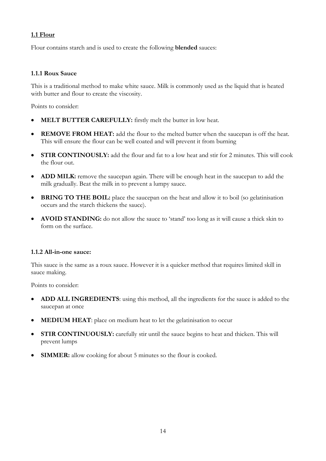#### **1.1 Flour**

Flour contains starch and is used to create the following **blended** sauces:

#### **1.1.1 Roux Sauce**

This is a traditional method to make white sauce. Milk is commonly used as the liquid that is heated with butter and flour to create the viscosity.

Points to consider:

- **MELT BUTTER CAREFULLY:** firstly melt the butter in low heat.
- **REMOVE FROM HEAT:** add the flour to the melted butter when the saucepan is off the heat. This will ensure the flour can be well coated and will prevent it from burning
- **STIR CONTINOUSLY:** add the flour and fat to a low heat and stir for 2 minutes. This will cook the flour out.
- **ADD MILK:** remove the saucepan again. There will be enough heat in the saucepan to add the milk gradually. Beat the milk in to prevent a lumpy sauce.
- **BRING TO THE BOIL:** place the saucepan on the heat and allow it to boil (so gelatinisation occurs and the starch thickens the sauce).
- **AVOID STANDING:** do not allow the sauce to 'stand' too long as it will cause a thick skin to form on the surface.

#### **1.1.2 All-in-one sauce:**

This sauce is the same as a roux sauce. However it is a quicker method that requires limited skill in sauce making.

Points to consider:

- **ADD ALL INGREDIENTS**: using this method, all the ingredients for the sauce is added to the saucepan at once
- **MEDIUM HEAT:** place on medium heat to let the gelatinisation to occur
- **STIR CONTINUOUSLY:** carefully stir until the sauce begins to heat and thicken. This will prevent lumps
- **SIMMER:** allow cooking for about 5 minutes so the flour is cooked.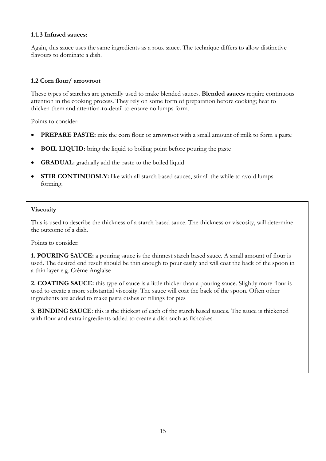#### **1.1.3 Infused sauces:**

Again, this sauce uses the same ingredients as a roux sauce. The technique differs to allow distinctive flavours to dominate a dish.

#### **1.2 Corn flour/ arrowroot**

These types of starches are generally used to make blended sauces. **Blended sauces** require continuous attention in the cooking process. They rely on some form of preparation before cooking; heat to thicken them and attention-to-detail to ensure no lumps form.

Points to consider:

- **PREPARE PASTE:** mix the corn flour or arrowroot with a small amount of milk to form a paste
- **BOIL LIQUID:** bring the liquid to boiling point before pouring the paste
- **GRADUAL:** gradually add the paste to the boiled liquid
- **STIR CONTINUOSLY:** like with all starch based sauces, stir all the while to avoid lumps forming.

#### **Viscosity**

This is used to describe the thickness of a starch based sauce. The thickness or viscosity, will determine the outcome of a dish.

Points to consider:

**1. POURING SAUCE:** a pouring sauce is the thinnest starch based sauce. A small amount of flour is used. The desired end result should be thin enough to pour easily and will coat the back of the spoon in a thin layer e.g. Crème Anglaise

**2. COATING SAUCE:** this type of sauce is a little thicker than a pouring sauce. Slightly more flour is used to create a more substantial viscosity. The sauce will coat the back of the spoon. Often other ingredients are added to make pasta dishes or fillings for pies

**3. BINDING SAUCE**: this is the thickest of each of the starch based sauces. The sauce is thickened with flour and extra ingredients added to create a dish such as fishcakes.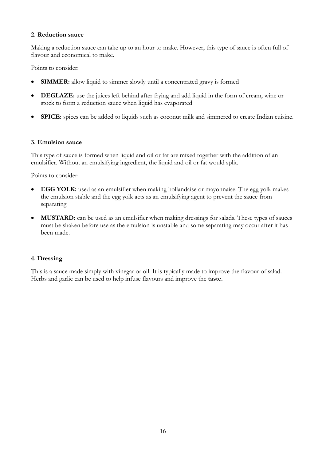#### **2. Reduction sauce**

Making a reduction sauce can take up to an hour to make. However, this type of sauce is often full of flavour and economical to make.

Points to consider:

- **SIMMER:** allow liquid to simmer slowly until a concentrated gravy is formed
- **DEGLAZE:** use the juices left behind after frying and add liquid in the form of cream, wine or stock to form a reduction sauce when liquid has evaporated
- **SPICE:** spices can be added to liquids such as coconut milk and simmered to create Indian cuisine.

#### **3. Emulsion sauce**

This type of sauce is formed when liquid and oil or fat are mixed together with the addition of an emulsifier. Without an emulsifying ingredient, the liquid and oil or fat would split.

Points to consider:

- **EGG YOLK:** used as an emulsifier when making hollandaise or mayonnaise. The egg yolk makes the emulsion stable and the egg yolk acts as an emulsifying agent to prevent the sauce from separating
- **MUSTARD:** can be used as an emulsifier when making dressings for salads. These types of sauces must be shaken before use as the emulsion is unstable and some separating may occur after it has been made.

#### **4. Dressing**

This is a sauce made simply with vinegar or oil. It is typically made to improve the flavour of salad. Herbs and garlic can be used to help infuse flavours and improve the **taste.**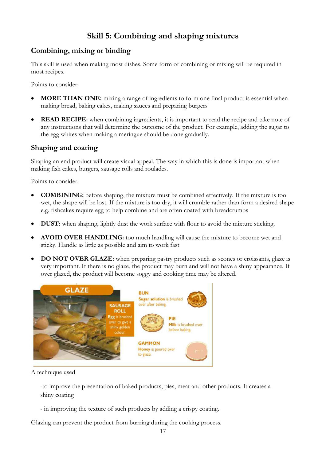# **Skill 5: Combining and shaping mixtures**

# **Combining, mixing or binding**

This skill is used when making most dishes. Some form of combining or mixing will be required in most recipes.

Points to consider:

- **MORE THAN ONE:** mixing a range of ingredients to form one final product is essential when making bread, baking cakes, making sauces and preparing burgers
- **READ RECIPE:** when combining ingredients, it is important to read the recipe and take note of any instructions that will determine the outcome of the product. For example, adding the sugar to the egg whites when making a meringue should be done gradually.

# **Shaping and coating**

Shaping an end product will create visual appeal. The way in which this is done is important when making fish cakes, burgers, sausage rolls and roulades.

Points to consider:

- **COMBINING:** before shaping, the mixture must be combined effectively. If the mixture is too wet, the shape will be lost. If the mixture is too dry, it will crumble rather than form a desired shape e.g. fishcakes require egg to help combine and are often coated with breadcrumbs
- **DUST:** when shaping, lightly dust the work surface with flour to avoid the mixture sticking.
- **AVOID OVER HANDLING:** too much handling will cause the mixture to become wet and sticky. Handle as little as possible and aim to work fast
- **DO NOT OVER GLAZE:** when preparing pastry products such as scones or croissants, glaze is very important. If there is no glaze, the product may burn and will not have a shiny appearance. If over glazed, the product will become soggy and cooking time may be altered.



A technique used

-to improve the presentation of baked products, pies, meat and other products. It creates a shiny coating

- in improving the texture of such products by adding a crispy coating.

Glazing can prevent the product from burning during the cooking process.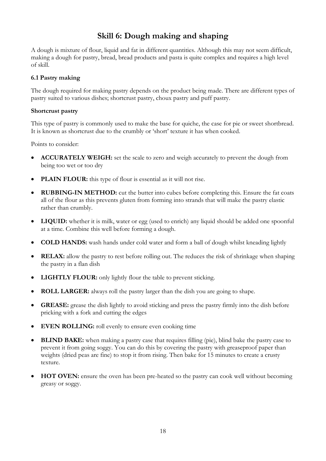# **Skill 6: Dough making and shaping**

A dough is mixture of flour, liquid and fat in different quantities. Although this may not seem difficult, making a dough for pastry, bread, bread products and pasta is quite complex and requires a high level of skill.

#### **6.1 Pastry making**

The dough required for making pastry depends on the product being made. There are different types of pastry suited to various dishes; shortcrust pastry, choux pastry and puff pastry.

#### **Shortcrust pastry**

This type of pastry is commonly used to make the base for quiche, the case for pie or sweet shortbread. It is known as shortcrust due to the crumbly or 'short' texture it has when cooked.

Points to consider:

- **ACCURATELY WEIGH:** set the scale to zero and weigh accurately to prevent the dough from being too wet or too dry
- **PLAIN FLOUR:** this type of flour is essential as it will not rise.
- **RUBBING-IN METHOD:** cut the butter into cubes before completing this. Ensure the fat coats all of the flour as this prevents gluten from forming into strands that will make the pastry elastic rather than crumbly.
- **LIQUID:** whether it is milk, water or egg (used to enrich) any liquid should be added one spoonful at a time. Combine this well before forming a dough.
- **COLD HANDS:** wash hands under cold water and form a ball of dough whilst kneading lightly
- **RELAX:** allow the pastry to rest before rolling out. The reduces the risk of shrinkage when shaping the pastry in a flan dish
- **LIGHTLY FLOUR:** only lightly flour the table to prevent sticking.
- **ROLL LARGER:** always roll the pastry larger than the dish you are going to shape.
- **GREASE:** grease the dish lightly to avoid sticking and press the pastry firmly into the dish before pricking with a fork and cutting the edges
- **EVEN ROLLING:** roll evenly to ensure even cooking time
- **BLIND BAKE:** when making a pastry case that requires filling (pie), blind bake the pastry case to prevent it from going soggy. You can do this by covering the pastry with greaseproof paper than weights (dried peas are fine) to stop it from rising. Then bake for 15 minutes to create a crusty texture.
- **HOT OVEN:** ensure the oven has been pre-heated so the pastry can cook well without becoming greasy or soggy.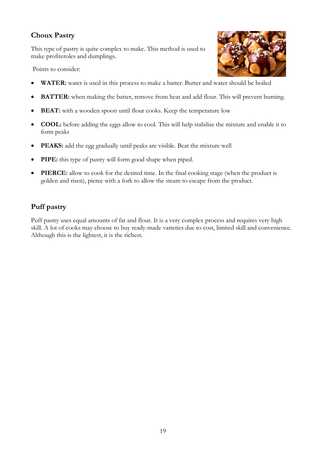# **Choux Pastry**

This type of pastry is quite complex to make. This method is used to make profiteroles and dumplings.

Points to consider:



- **WATER:** water is used in this process to make a batter. Butter and water should be boiled
- **BATTER:** when making the batter, remove from heat and add flour. This will prevent burning.
- **BEAT:** with a wooden spoon until flour cooks. Keep the temperature low
- **COOL:** before adding the eggs allow to cool. This will help stabilise the mixture and enable it to form peaks
- **PEAKS:** add the egg gradually until peaks are visible. Beat the mixture well
- **PIPE:** this type of pastry will form good shape when piped.
- **PIERCE:** allow to cook for the desired time. In the final cooking stage (when the product is golden and risen), pierce with a fork to allow the steam to escape from the product.

# **Puff pastry**

Puff pastry uses equal amounts of fat and flour. It is a very complex process and requires very high skill. A lot of cooks may choose to buy ready-made varieties due to cost, limited skill and convenience. Although this is the lightest, it is the richest.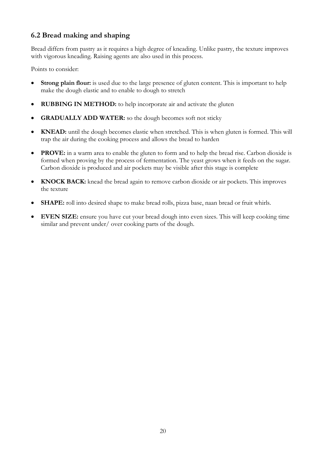# **6.2 Bread making and shaping**

Bread differs from pastry as it requires a high degree of kneading. Unlike pastry, the texture improves with vigorous kneading. Raising agents are also used in this process.

Points to consider:

- **Strong plain flour:** is used due to the large presence of gluten content. This is important to help make the dough elastic and to enable to dough to stretch
- **RUBBING IN METHOD:** to help incorporate air and activate the gluten
- **GRADUALLY ADD WATER:** so the dough becomes soft not sticky
- **KNEAD:** until the dough becomes elastic when stretched. This is when gluten is formed. This will trap the air during the cooking process and allows the bread to harden
- **PROVE:** in a warm area to enable the gluten to form and to help the bread rise. Carbon dioxide is formed when proving by the process of fermentation. The yeast grows when it feeds on the sugar. Carbon dioxide is produced and air pockets may be visible after this stage is complete
- **KNOCK BACK:** knead the bread again to remove carbon dioxide or air pockets. This improves the texture
- **SHAPE:** roll into desired shape to make bread rolls, pizza base, naan bread or fruit whirls.
- **EVEN SIZE:** ensure you have cut your bread dough into even sizes. This will keep cooking time similar and prevent under/ over cooking parts of the dough.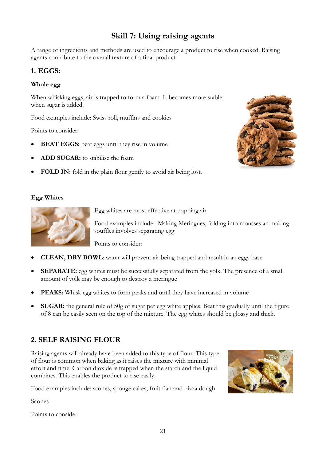# **Skill 7: Using raising agents**

A range of ingredients and methods are used to encourage a product to rise when cooked. Raising agents contribute to the overall texture of a final product.

## **1. EGGS:**

#### **Whole egg**

When whisking eggs, air is trapped to form a foam. It becomes more stable when sugar is added.

Food examples include: Swiss roll, muffins and cookies

Points to consider:

- **BEAT EGGS:** beat eggs until they rise in volume
- **ADD SUGAR:** to stabilise the foam
- **FOLD IN:** fold in the plain flour gently to avoid air being lost.

#### **Egg Whites**



Egg whites are most effective at trapping air.

Food examples include: Making Meringues, folding into mousses an making soufflés involves separating egg

Points to consider:

- **CLEAN, DRY BOWL**: water will prevent air being trapped and result in an eggy base
- **SEPARATE:** egg whites must be successfully separated from the yolk. The presence of a small amount of yolk may be enough to destroy a meringue
- **PEAKS:** Whisk egg whites to form peaks and until they have increased in volume
- **SUGAR:** the general rule of 50g of sugar per egg white applies. Beat this gradually until the figure of 8 can be easily seen on the top of the mixture. The egg whites should be glossy and thick.

# **2. SELF RAISING FLOUR**

Raising agents will already have been added to this type of flour. This type of flour is common when baking as it raises the mixture with minimal effort and time. Carbon dioxide is trapped when the starch and the liquid combines. This enables the product to rise easily.

Food examples include: scones, sponge cakes, fruit flan and pizza dough.

Scones

Points to consider:



21

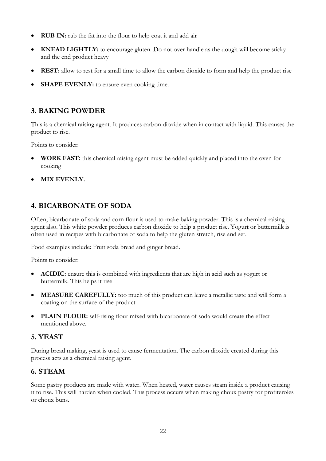- **RUB IN:** rub the fat into the flour to help coat it and add air
- **KNEAD LIGHTLY:** to encourage gluten. Do not over handle as the dough will become sticky and the end product heavy
- **REST:** allow to rest for a small time to allow the carbon dioxide to form and help the product rise
- **SHAPE EVENLY:** to ensure even cooking time.

# **3. BAKING POWDER**

This is a chemical raising agent. It produces carbon dioxide when in contact with liquid. This causes the product to rise.

Points to consider:

- **WORK FAST:** this chemical raising agent must be added quickly and placed into the oven for cooking
- **MIX EVENLY.**

## **4. BICARBONATE OF SODA**

Often, bicarbonate of soda and corn flour is used to make baking powder. This is a chemical raising agent also. This white powder produces carbon dioxide to help a product rise. Yogurt or buttermilk is often used in recipes with bicarbonate of soda to help the gluten stretch, rise and set.

Food examples include: Fruit soda bread and ginger bread.

Points to consider:

- **ACIDIC:** ensure this is combined with ingredients that are high in acid such as yogurt or buttermilk. This helps it rise
- **MEASURE CAREFULLY:** too much of this product can leave a metallic taste and will form a coating on the surface of the product
- **PLAIN FLOUR:** self-rising flour mixed with bicarbonate of soda would create the effect mentioned above.

## **5. YEAST**

During bread making, yeast is used to cause fermentation. The carbon dioxide created during this process acts as a chemical raising agent.

## **6. STEAM**

Some pastry products are made with water. When heated, water causes steam inside a product causing it to rise. This will harden when cooled. This process occurs when making choux pastry for profiteroles or choux buns.